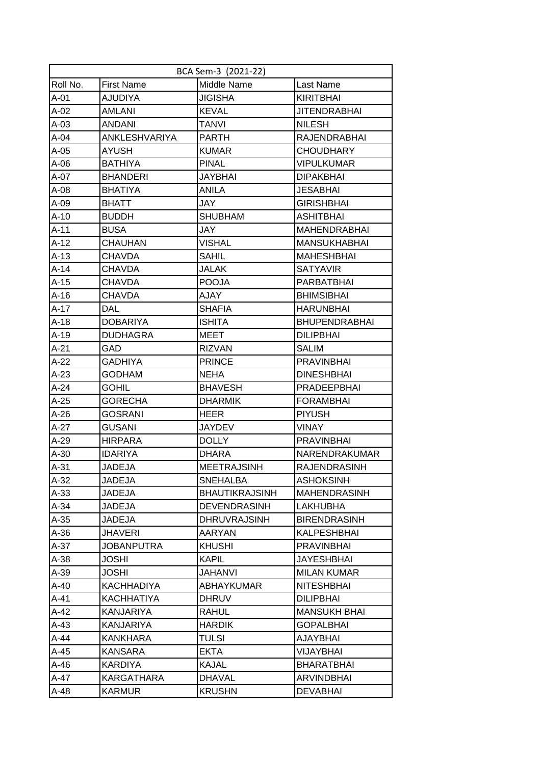|          |                   | BCA Sem-3 (2021-22)   |                      |
|----------|-------------------|-----------------------|----------------------|
| Roll No. | <b>First Name</b> | Middle Name           | Last Name            |
| $A-01$   | <b>AJUDIYA</b>    | <b>JIGISHA</b>        | <b>KIRITBHAI</b>     |
| $A-02$   | AMLANI            | <b>KEVAL</b>          | <b>JITENDRABHAI</b>  |
| $A-03$   | ANDANI            | TANVI                 | <b>NILESH</b>        |
| $A-04$   | ANKLESHVARIYA     | <b>PARTH</b>          | <b>RAJENDRABHAI</b>  |
| $A-05$   | AYUSH             | <b>KUMAR</b>          | <b>CHOUDHARY</b>     |
| $A-06$   | <b>BATHIYA</b>    | <b>PINAL</b>          | <b>VIPULKUMAR</b>    |
| $A-07$   | <b>BHANDERI</b>   | <b>JAYBHAI</b>        | <b>DIPAKBHAI</b>     |
| $A-08$   | <b>BHATIYA</b>    | <b>ANILA</b>          | JESABHAI             |
| $A-09$   | <b>BHATT</b>      | JAY                   | <b>GIRISHBHAI</b>    |
| $A-10$   | <b>BUDDH</b>      | <b>SHUBHAM</b>        | ASHITBHAI            |
| $A-11$   | <b>BUSA</b>       | JAY                   | <b>MAHENDRABHAI</b>  |
| $A-12$   | <b>CHAUHAN</b>    | <b>VISHAL</b>         | <b>MANSUKHABHAI</b>  |
| $A-13$   | CHAVDA            | <b>SAHIL</b>          | <b>MAHESHBHAI</b>    |
| $A-14$   | <b>CHAVDA</b>     | <b>JALAK</b>          | <b>SATYAVIR</b>      |
| A-15     | CHAVDA            | <b>POOJA</b>          | PARBATBHAI           |
| $A-16$   | CHAVDA            | AJAY                  | <b>BHIMSIBHAI</b>    |
| $A-17$   | DAL               | <b>SHAFIA</b>         | <b>HARUNBHAI</b>     |
| $A-18$   | <b>DOBARIYA</b>   | <b>ISHITA</b>         | <b>BHUPENDRABHAI</b> |
| $A-19$   | <b>DUDHAGRA</b>   | MEET                  | <b>DILIPBHAI</b>     |
| $A-21$   | GAD               | <b>RIZVAN</b>         | <b>SALIM</b>         |
| $A-22$   | GADHIYA           | <b>PRINCE</b>         | <b>PRAVINBHAI</b>    |
| $A-23$   | GODHAM            | NEHA                  | <b>DINESHBHAI</b>    |
| $A-24$   | GOHIL             | <b>BHAVESH</b>        | <b>PRADEEPBHAI</b>   |
| $A-25$   | <b>GORECHA</b>    | <b>DHARMIK</b>        | <b>FORAMBHAI</b>     |
| $A-26$   | GOSRANI           | HEER                  | <b>PIYUSH</b>        |
| $A-27$   | <b>GUSANI</b>     | <b>JAYDEV</b>         | <b>VINAY</b>         |
| $A-29$   | <b>HIRPARA</b>    | <b>DOLLY</b>          | <b>PRAVINBHAI</b>    |
| $A-30$   | <b>IDARIYA</b>    | <b>DHARA</b>          | NARENDRAKUMAR        |
| $A-31$   | <b>JADEJA</b>     | <b>MEETRAJSINH</b>    | <b>RAJENDRASINH</b>  |
| $A-32$   | <b>JADEJA</b>     | <b>SNEHALBA</b>       | <b>ASHOKSINH</b>     |
| $A-33$   | <b>JADEJA</b>     | <b>BHAUTIKRAJSINH</b> | <b>MAHENDRASINH</b>  |
| $A-34$   | <b>JADEJA</b>     | <b>DEVENDRASINH</b>   | <b>LAKHUBHA</b>      |
| $A-35$   | <b>JADEJA</b>     | <b>DHRUVRAJSINH</b>   | <b>BIRENDRASINH</b>  |
| $A-36$   | JHAVERI           | AARYAN                | KALPESHBHAI          |
| $A-37$   | <b>JOBANPUTRA</b> | <b>KHUSHI</b>         | <b>PRAVINBHAI</b>    |
| $A-38$   | <b>JOSHI</b>      | <b>KAPIL</b>          | <b>JAYESHBHAI</b>    |
| $A-39$   | <b>JOSHI</b>      | <b>JAHANVI</b>        | <b>MILAN KUMAR</b>   |
| $A-40$   | <b>KACHHADIYA</b> | <b>ABHAYKUMAR</b>     | <b>NITESHBHAI</b>    |
| A-41     | KACHHATIYA        | <b>DHRUV</b>          | <b>DILIPBHAI</b>     |
| $A-42$   | KANJARIYA         | RAHUL                 | <b>MANSUKH BHAI</b>  |
| $A-43$   | KANJARIYA         | <b>HARDIK</b>         | <b>GOPALBHAI</b>     |
| $A-44$   | <b>KANKHARA</b>   | <b>TULSI</b>          | AJAYBHAI             |
| $A-45$   | KANSARA           | <b>EKTA</b>           | VIJAYBHAI            |
| $A-46$   | KARDIYA           | <b>KAJAL</b>          | BHARATBHAI           |
| $A-47$   | <b>KARGATHARA</b> | <b>DHAVAL</b>         | <b>ARVINDBHAI</b>    |
| A-48     | <b>KARMUR</b>     | <b>KRUSHN</b>         | <b>DEVABHAI</b>      |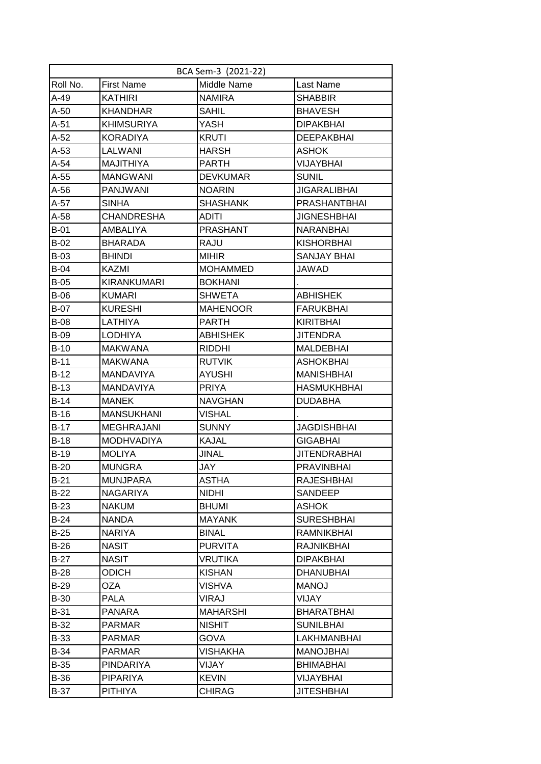|             | BCA Sem-3 (2021-22) |                 |                     |  |  |  |
|-------------|---------------------|-----------------|---------------------|--|--|--|
| Roll No.    | <b>First Name</b>   | Middle Name     | Last Name           |  |  |  |
| A-49        | <b>KATHIRI</b>      | <b>NAMIRA</b>   | <b>SHABBIR</b>      |  |  |  |
| A-50        | <b>KHANDHAR</b>     | <b>SAHIL</b>    | <b>BHAVESH</b>      |  |  |  |
| A-51        | <b>KHIMSURIYA</b>   | YASH            | <b>DIPAKBHAI</b>    |  |  |  |
| A-52        | <b>KORADIYA</b>     | <b>KRUTI</b>    | <b>DEEPAKBHAI</b>   |  |  |  |
| $A-53$      | LALWANI             | <b>HARSH</b>    | <b>ASHOK</b>        |  |  |  |
| A-54        | <b>MAJITHIYA</b>    | <b>PARTH</b>    | <b>VIJAYBHAI</b>    |  |  |  |
| $A-55$      | <b>MANGWANI</b>     | <b>DEVKUMAR</b> | <b>SUNIL</b>        |  |  |  |
| A-56        | <b>PANJWANI</b>     | <b>NOARIN</b>   | <b>JIGARALIBHAI</b> |  |  |  |
| A-57        | <b>SINHA</b>        | <b>SHASHANK</b> | PRASHANTBHAI        |  |  |  |
| A-58        | CHANDRESHA          | ADITI           | <b>JIGNESHBHAI</b>  |  |  |  |
| $B-01$      | AMBALIYA            | <b>PRASHANT</b> | <b>NARANBHAI</b>    |  |  |  |
| $B-02$      | <b>BHARADA</b>      | <b>RAJU</b>     | <b>KISHORBHAI</b>   |  |  |  |
| <b>B-03</b> | <b>BHINDI</b>       | <b>MIHIR</b>    | <b>SANJAY BHAI</b>  |  |  |  |
| $B-04$      | KAZMI               | <b>MOHAMMED</b> | <b>JAWAD</b>        |  |  |  |
| B-05        | KIRANKUMARI         | <b>BOKHANI</b>  |                     |  |  |  |
| <b>B-06</b> | <b>KUMARI</b>       | <b>SHWETA</b>   | <b>ABHISHEK</b>     |  |  |  |
| <b>B-07</b> | <b>KURESHI</b>      | MAHENOOR        | <b>FARUKBHAI</b>    |  |  |  |
| <b>B-08</b> | LATHIYA             | <b>PARTH</b>    | <b>KIRITBHAI</b>    |  |  |  |
| <b>B-09</b> | <b>LODHIYA</b>      | <b>ABHISHEK</b> | <b>JITENDRA</b>     |  |  |  |
| $B-10$      | <b>MAKWANA</b>      | <b>RIDDHI</b>   | <b>MALDEBHAI</b>    |  |  |  |
| <b>B-11</b> | <b>MAKWANA</b>      | <b>RUTVIK</b>   | <b>ASHOKBHAI</b>    |  |  |  |
| B-12        | MANDAVIYA           | AYUSHI          | <b>MANISHBHAI</b>   |  |  |  |
| $B-13$      | <b>MANDAVIYA</b>    | <b>PRIYA</b>    | <b>HASMUKHBHAI</b>  |  |  |  |
| $B-14$      | <b>MANEK</b>        | <b>NAVGHAN</b>  | <b>DUDABHA</b>      |  |  |  |
| $B-16$      | <b>MANSUKHANI</b>   | <b>VISHAL</b>   |                     |  |  |  |
| B-17        | <b>MEGHRAJANI</b>   | <b>SUNNY</b>    | <b>JAGDISHBHAI</b>  |  |  |  |
| $B-18$      | <b>MODHVADIYA</b>   | <b>KAJAL</b>    | <b>GIGABHAI</b>     |  |  |  |
| $B-19$      | <b>MOLIYA</b>       | <b>JINAL</b>    | <b>JITENDRABHAI</b> |  |  |  |
| $B-20$      | <b>MUNGRA</b>       | <b>JAY</b>      | <b>PRAVINBHAI</b>   |  |  |  |
| $B-21$      | <b>MUNJPARA</b>     | <b>ASTHA</b>    | <b>RAJESHBHAI</b>   |  |  |  |
| $B-22$      | <b>NAGARIYA</b>     | <b>NIDHI</b>    | SANDEEP             |  |  |  |
| $B-23$      | <b>NAKUM</b>        | <b>BHUMI</b>    | <b>ASHOK</b>        |  |  |  |
| $B-24$      | <b>NANDA</b>        | <b>MAYANK</b>   | <b>SURESHBHAI</b>   |  |  |  |
| $B-25$      | NARIYA              | <b>BINAL</b>    | <b>RAMNIKBHAI</b>   |  |  |  |
| $B-26$      | <b>NASIT</b>        | <b>PURVITA</b>  | RAJNIKBHAI          |  |  |  |
| $B-27$      | <b>NASIT</b>        | VRUTIKA         | <b>DIPAKBHAI</b>    |  |  |  |
| $B-28$      | ODICH               | <b>KISHAN</b>   | <b>DHANUBHAI</b>    |  |  |  |
| $B-29$      | OZA                 | <b>VISHVA</b>   | <b>MANOJ</b>        |  |  |  |
| <b>B-30</b> | <b>PALA</b>         | VIRAJ           | VIJAY               |  |  |  |
| <b>B-31</b> | <b>PANARA</b>       | <b>MAHARSHI</b> | <b>BHARATBHAI</b>   |  |  |  |
| B-32        | PARMAR              | <b>NISHIT</b>   | <b>SUNILBHAI</b>    |  |  |  |
| <b>B-33</b> | <b>PARMAR</b>       | <b>GOVA</b>     | LAKHMANBHAI         |  |  |  |
| B-34        | <b>PARMAR</b>       | VISHAKHA        | <b>MANOJBHAI</b>    |  |  |  |
| B-35        | <b>PINDARIYA</b>    | VIJAY           | <b>BHIMABHAI</b>    |  |  |  |
| B-36        | <b>PIPARIYA</b>     | <b>KEVIN</b>    | VIJAYBHAI           |  |  |  |
| <b>B-37</b> | <b>PITHIYA</b>      | <b>CHIRAG</b>   | <b>JITESHBHAI</b>   |  |  |  |